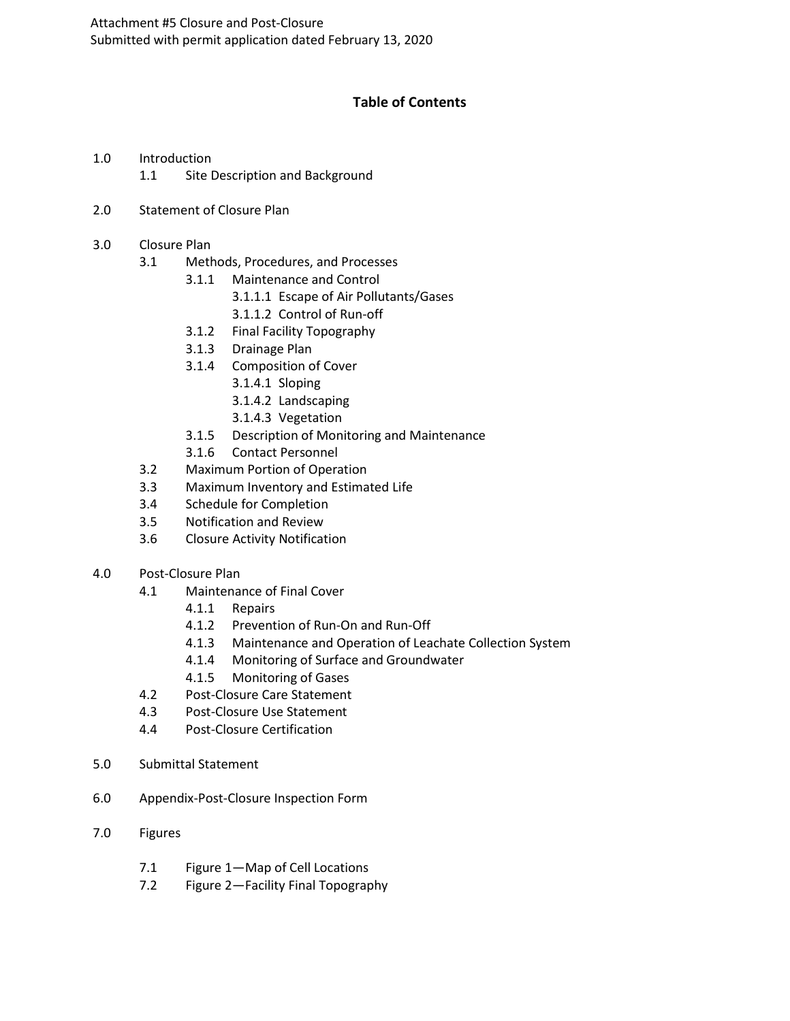# **Table of Contents**

- 1.0 Introduction 1.1 Site Description and Background
- 2.0 Statement of Closure Plan
- 3.0 Closure Plan
	- 3.1 Methods, Procedures, and Processes
		- 3.1.1 Maintenance and Control
			- 3.1.1.1 Escape of Air Pollutants/Gases
			- 3.1.1.2 Control of Run-off
		- 3.1.2 Final Facility Topography
		- 3.1.3 Drainage Plan
		- 3.1.4 Composition of Cover
			- 3.1.4.1 Sloping
			- 3.1.4.2 Landscaping
			- 3.1.4.3 Vegetation
		- 3.1.5 Description of Monitoring and Maintenance
		- 3.1.6 Contact Personnel
	- 3.2 Maximum Portion of Operation
	- 3.3 Maximum Inventory and Estimated Life
	- 3.4 Schedule for Completion
	- 3.5 Notification and Review
	- 3.6 Closure Activity Notification
- 4.0 Post-Closure Plan
	- 4.1 Maintenance of Final Cover
		- 4.1.1 Repairs
		- 4.1.2 Prevention of Run-On and Run-Off
		- 4.1.3 Maintenance and Operation of Leachate Collection System
		- 4.1.4 Monitoring of Surface and Groundwater
		- 4.1.5 Monitoring of Gases
	- 4.2 Post-Closure Care Statement
	- 4.3 Post-Closure Use Statement
	- 4.4 Post-Closure Certification
- 5.0 Submittal Statement
- 6.0 Appendix-Post-Closure Inspection Form
- 7.0 Figures
	- 7.1 Figure 1—Map of Cell Locations
	- 7.2 Figure 2—Facility Final Topography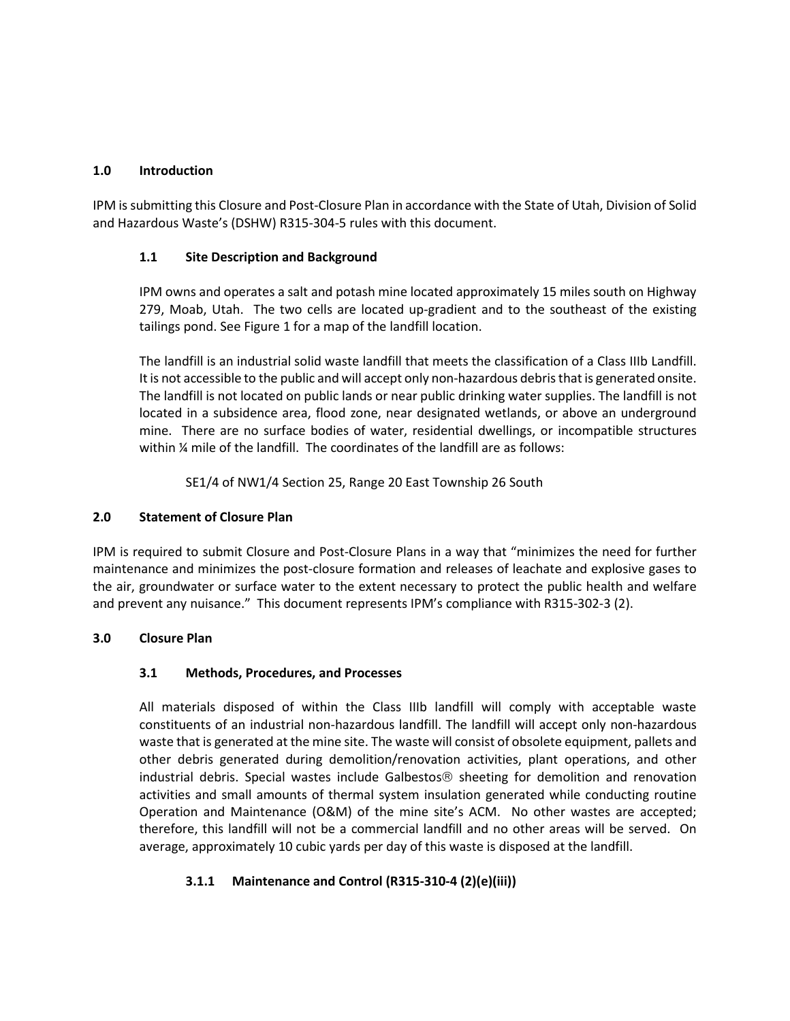### **1.0 Introduction**

IPM is submitting this Closure and Post-Closure Plan in accordance with the State of Utah, Division of Solid and Hazardous Waste's (DSHW) R315-304-5 rules with this document.

### **1.1 Site Description and Background**

IPM owns and operates a salt and potash mine located approximately 15 miles south on Highway 279, Moab, Utah. The two cells are located up-gradient and to the southeast of the existing tailings pond. See Figure 1 for a map of the landfill location.

The landfill is an industrial solid waste landfill that meets the classification of a Class IIIb Landfill. It is not accessible to the public and will accept only non-hazardous debris that is generated onsite. The landfill is not located on public lands or near public drinking water supplies. The landfill is not located in a subsidence area, flood zone, near designated wetlands, or above an underground mine. There are no surface bodies of water, residential dwellings, or incompatible structures within ¼ mile of the landfill. The coordinates of the landfill are as follows:

SE1/4 of NW1/4 Section 25, Range 20 East Township 26 South

#### **2.0 Statement of Closure Plan**

IPM is required to submit Closure and Post-Closure Plans in a way that "minimizes the need for further maintenance and minimizes the post-closure formation and releases of leachate and explosive gases to the air, groundwater or surface water to the extent necessary to protect the public health and welfare and prevent any nuisance." This document represents IPM's compliance with R315-302-3 (2).

## **3.0 Closure Plan**

## **3.1 Methods, Procedures, and Processes**

All materials disposed of within the Class IIIb landfill will comply with acceptable waste constituents of an industrial non-hazardous landfill. The landfill will accept only non-hazardous waste that is generated at the mine site. The waste will consist of obsolete equipment, pallets and other debris generated during demolition/renovation activities, plant operations, and other industrial debris. Special wastes include Galbestos<sup>®</sup> sheeting for demolition and renovation activities and small amounts of thermal system insulation generated while conducting routine Operation and Maintenance (O&M) of the mine site's ACM. No other wastes are accepted; therefore, this landfill will not be a commercial landfill and no other areas will be served. On average, approximately 10 cubic yards per day of this waste is disposed at the landfill.

## **3.1.1 Maintenance and Control (R315-310-4 (2)(e)(iii))**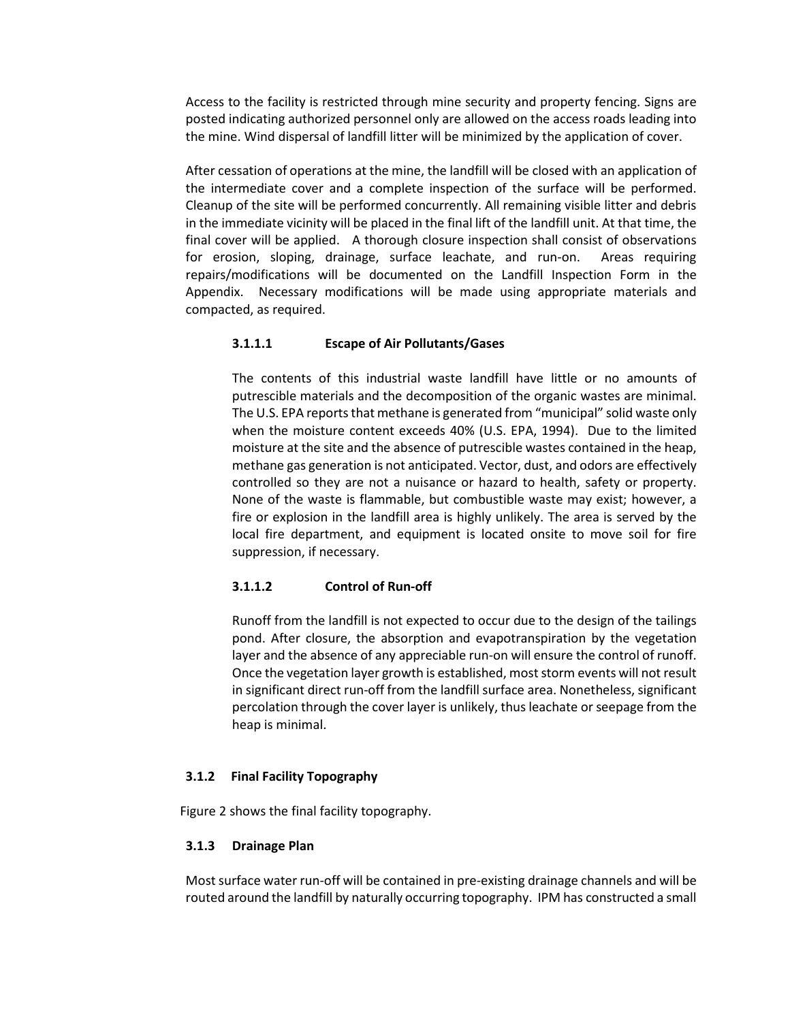Access to the facility is restricted through mine security and property fencing. Signs are posted indicating authorized personnel only are allowed on the access roads leading into the mine. Wind dispersal of landfill litter will be minimized by the application of cover.

After cessation of operations at the mine, the landfill will be closed with an application of the intermediate cover and a complete inspection of the surface will be performed. Cleanup of the site will be performed concurrently. All remaining visible litter and debris in the immediate vicinity will be placed in the final lift of the landfill unit. At that time, the final cover will be applied. A thorough closure inspection shall consist of observations for erosion, sloping, drainage, surface leachate, and run-on. Areas requiring repairs/modifications will be documented on the Landfill Inspection Form in the Appendix. Necessary modifications will be made using appropriate materials and compacted, as required.

### **3.1.1.1 Escape of Air Pollutants/Gases**

The contents of this industrial waste landfill have little or no amounts of putrescible materials and the decomposition of the organic wastes are minimal. The U.S. EPA reports that methane is generated from "municipal" solid waste only when the moisture content exceeds 40% (U.S. EPA, 1994). Due to the limited moisture at the site and the absence of putrescible wastes contained in the heap, methane gas generation is not anticipated. Vector, dust, and odors are effectively controlled so they are not a nuisance or hazard to health, safety or property. None of the waste is flammable, but combustible waste may exist; however, a fire or explosion in the landfill area is highly unlikely. The area is served by the local fire department, and equipment is located onsite to move soil for fire suppression, if necessary.

#### **3.1.1.2 Control of Run-off**

Runoff from the landfill is not expected to occur due to the design of the tailings pond. After closure, the absorption and evapotranspiration by the vegetation layer and the absence of any appreciable run-on will ensure the control of runoff. Once the vegetation layer growth is established, most storm events will not result in significant direct run-off from the landfill surface area. Nonetheless, significant percolation through the cover layer is unlikely, thus leachate or seepage from the heap is minimal.

#### **3.1.2 Final Facility Topography**

Figure 2 shows the final facility topography.

#### **3.1.3 Drainage Plan**

Most surface water run-off will be contained in pre-existing drainage channels and will be routed around the landfill by naturally occurring topography. IPM has constructed a small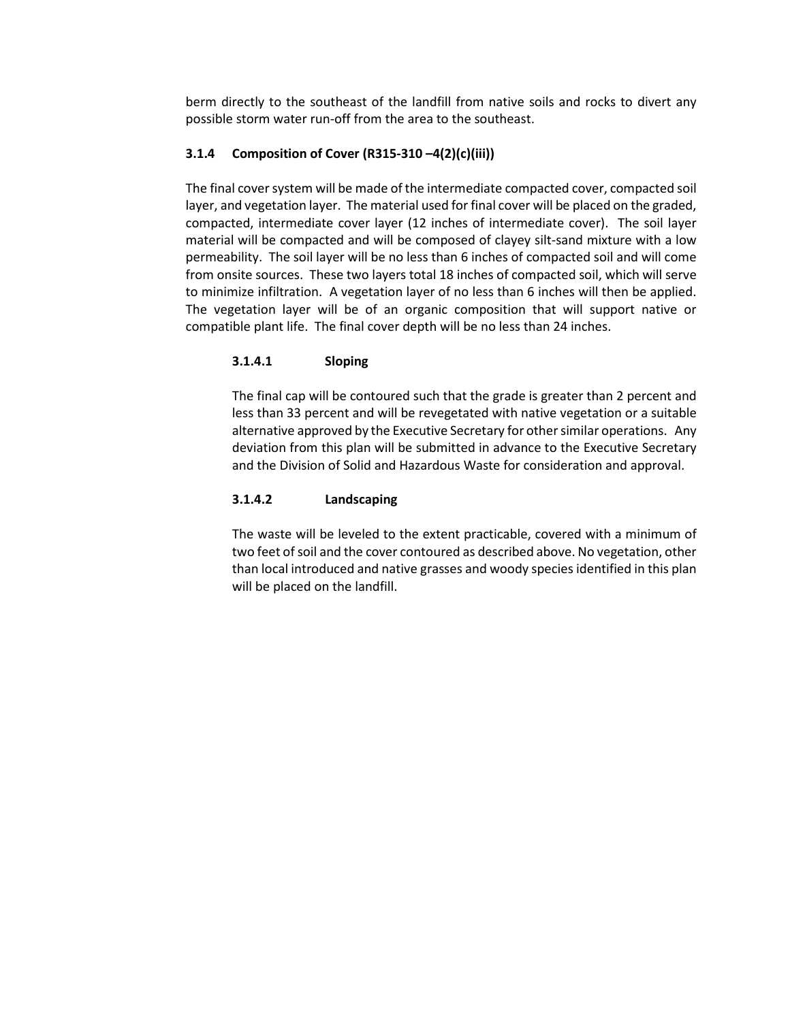berm directly to the southeast of the landfill from native soils and rocks to divert any possible storm water run-off from the area to the southeast.

### **3.1.4 Composition of Cover (R315-310 –4(2)(c)(iii))**

The final cover system will be made of the intermediate compacted cover, compacted soil layer, and vegetation layer. The material used for final cover will be placed on the graded, compacted, intermediate cover layer (12 inches of intermediate cover). The soil layer material will be compacted and will be composed of clayey silt-sand mixture with a low permeability. The soil layer will be no less than 6 inches of compacted soil and will come from onsite sources. These two layers total 18 inches of compacted soil, which will serve to minimize infiltration. A vegetation layer of no less than 6 inches will then be applied. The vegetation layer will be of an organic composition that will support native or compatible plant life. The final cover depth will be no less than 24 inches.

## **3.1.4.1 Sloping**

The final cap will be contoured such that the grade is greater than 2 percent and less than 33 percent and will be revegetated with native vegetation or a suitable alternative approved by the Executive Secretary for other similar operations. Any deviation from this plan will be submitted in advance to the Executive Secretary and the Division of Solid and Hazardous Waste for consideration and approval.

### **3.1.4.2 Landscaping**

The waste will be leveled to the extent practicable, covered with a minimum of two feet of soil and the cover contoured as described above. No vegetation, other than local introduced and native grasses and woody species identified in this plan will be placed on the landfill.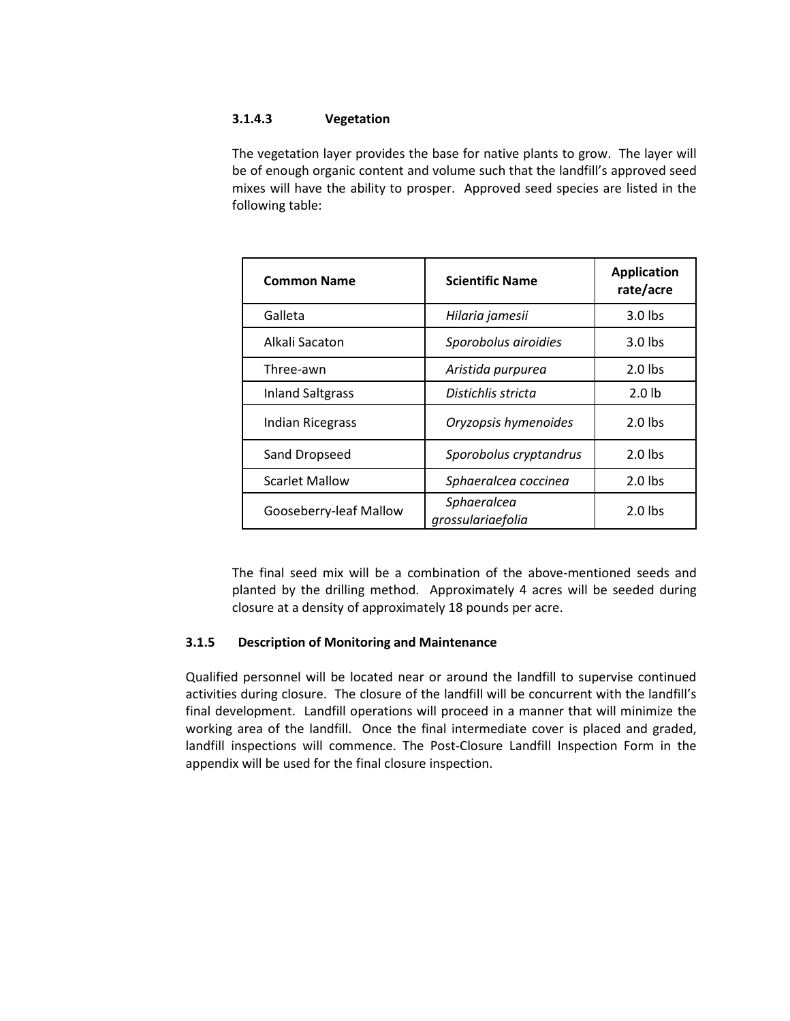### **3.1.4.3 Vegetation**

The vegetation layer provides the base for native plants to grow. The layer will be of enough organic content and volume such that the landfill's approved seed mixes will have the ability to prosper. Approved seed species are listed in the following table:

| <b>Common Name</b>      | <b>Scientific Name</b>           | <b>Application</b><br>rate/acre |
|-------------------------|----------------------------------|---------------------------------|
| Galleta                 | Hilaria jamesii                  | $3.0$ lbs                       |
| Alkali Sacaton          | Sporobolus airoidies             | $3.0$ lbs                       |
| Three-awn               | Aristida purpurea                | $2.0$ lbs                       |
| <b>Inland Saltgrass</b> | Distichlis stricta               | 2.0 <sub>1b</sub>               |
| <b>Indian Ricegrass</b> | Oryzopsis hymenoides             | $2.0$ lbs                       |
| Sand Dropseed           | Sporobolus cryptandrus           | $2.0$ lbs                       |
| <b>Scarlet Mallow</b>   | Sphaeralcea coccinea             | $2.0$ lbs                       |
| Gooseberry-leaf Mallow  | Sphaeralcea<br>grossulariaefolia | $2.0$ lbs                       |

The final seed mix will be a combination of the above-mentioned seeds and planted by the drilling method. Approximately 4 acres will be seeded during closure at a density of approximately 18 pounds per acre.

## **3.1.5 Description of Monitoring and Maintenance**

Qualified personnel will be located near or around the landfill to supervise continued activities during closure. The closure of the landfill will be concurrent with the landfill's final development. Landfill operations will proceed in a manner that will minimize the working area of the landfill. Once the final intermediate cover is placed and graded, landfill inspections will commence. The Post-Closure Landfill Inspection Form in the appendix will be used for the final closure inspection.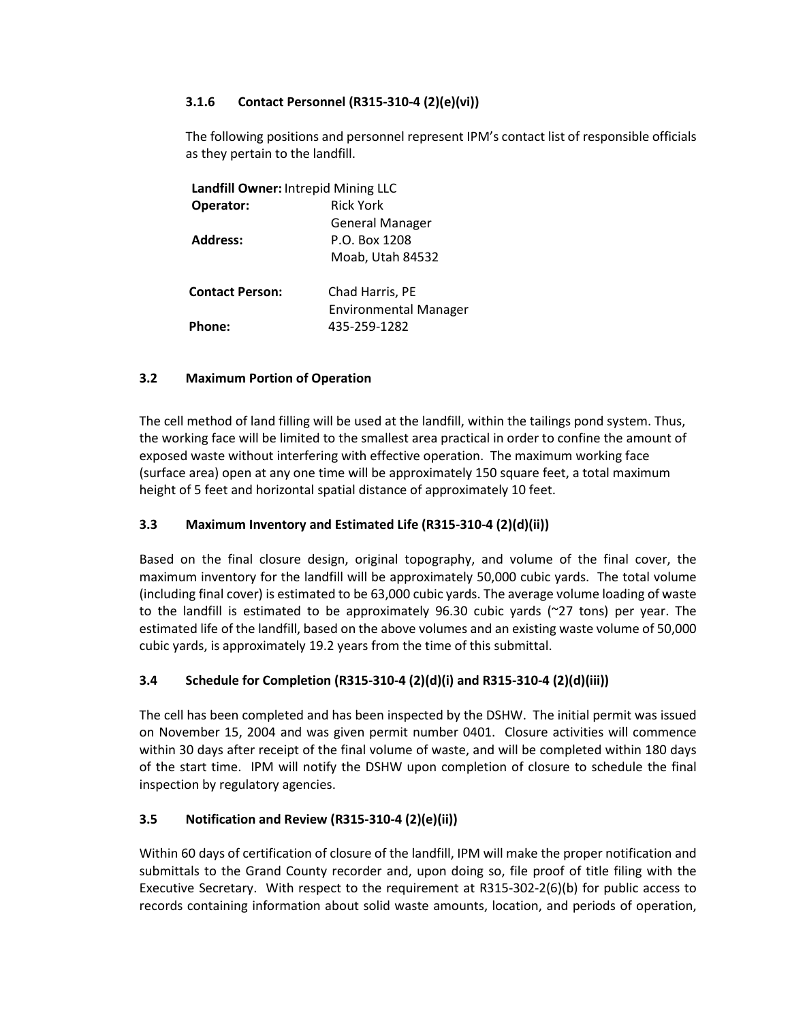## **3.1.6 Contact Personnel (R315-310-4 (2)(e)(vi))**

The following positions and personnel represent IPM's contact list of responsible officials as they pertain to the landfill.

| Landfill Owner: Intrepid Mining LLC |                              |
|-------------------------------------|------------------------------|
| Operator:                           | <b>Rick York</b>             |
|                                     | <b>General Manager</b>       |
| <b>Address:</b>                     | P.O. Box 1208                |
|                                     | Moab, Utah 84532             |
| <b>Contact Person:</b>              | Chad Harris, PE              |
|                                     | <b>Environmental Manager</b> |
| Phone:                              | 435-259-1282                 |
|                                     |                              |

### **3.2 Maximum Portion of Operation**

The cell method of land filling will be used at the landfill, within the tailings pond system. Thus, the working face will be limited to the smallest area practical in order to confine the amount of exposed waste without interfering with effective operation. The maximum working face (surface area) open at any one time will be approximately 150 square feet, a total maximum height of 5 feet and horizontal spatial distance of approximately 10 feet.

## **3.3 Maximum Inventory and Estimated Life (R315-310-4 (2)(d)(ii))**

Based on the final closure design, original topography, and volume of the final cover, the maximum inventory for the landfill will be approximately 50,000 cubic yards. The total volume (including final cover) is estimated to be 63,000 cubic yards. The average volume loading of waste to the landfill is estimated to be approximately 96.30 cubic yards (~27 tons) per year. The estimated life of the landfill, based on the above volumes and an existing waste volume of 50,000 cubic yards, is approximately 19.2 years from the time of this submittal.

## **3.4 Schedule for Completion (R315-310-4 (2)(d)(i) and R315-310-4 (2)(d)(iii))**

The cell has been completed and has been inspected by the DSHW. The initial permit was issued on November 15, 2004 and was given permit number 0401. Closure activities will commence within 30 days after receipt of the final volume of waste, and will be completed within 180 days of the start time. IPM will notify the DSHW upon completion of closure to schedule the final inspection by regulatory agencies.

#### **3.5 Notification and Review (R315-310-4 (2)(e)(ii))**

Within 60 days of certification of closure of the landfill, IPM will make the proper notification and submittals to the Grand County recorder and, upon doing so, file proof of title filing with the Executive Secretary. With respect to the requirement at R315-302-2(6)(b) for public access to records containing information about solid waste amounts, location, and periods of operation,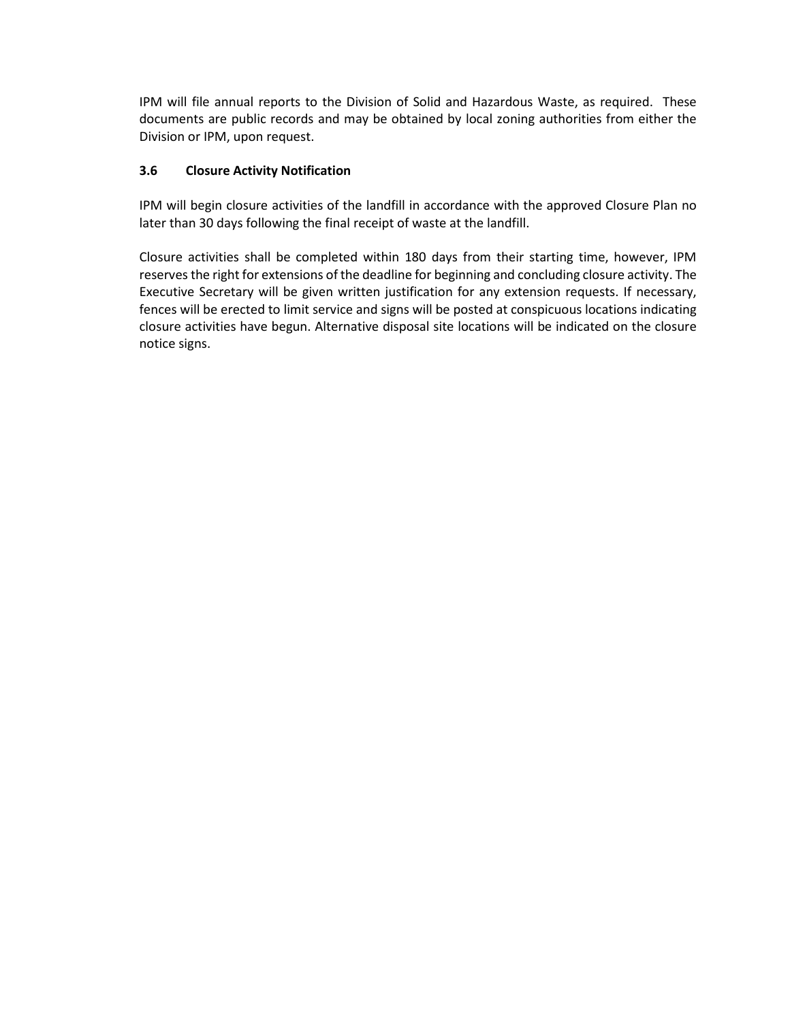IPM will file annual reports to the Division of Solid and Hazardous Waste, as required. These documents are public records and may be obtained by local zoning authorities from either the Division or IPM, upon request.

### **3.6 Closure Activity Notification**

IPM will begin closure activities of the landfill in accordance with the approved Closure Plan no later than 30 days following the final receipt of waste at the landfill.

Closure activities shall be completed within 180 days from their starting time, however, IPM reserves the right for extensions of the deadline for beginning and concluding closure activity. The Executive Secretary will be given written justification for any extension requests. If necessary, fences will be erected to limit service and signs will be posted at conspicuous locations indicating closure activities have begun. Alternative disposal site locations will be indicated on the closure notice signs.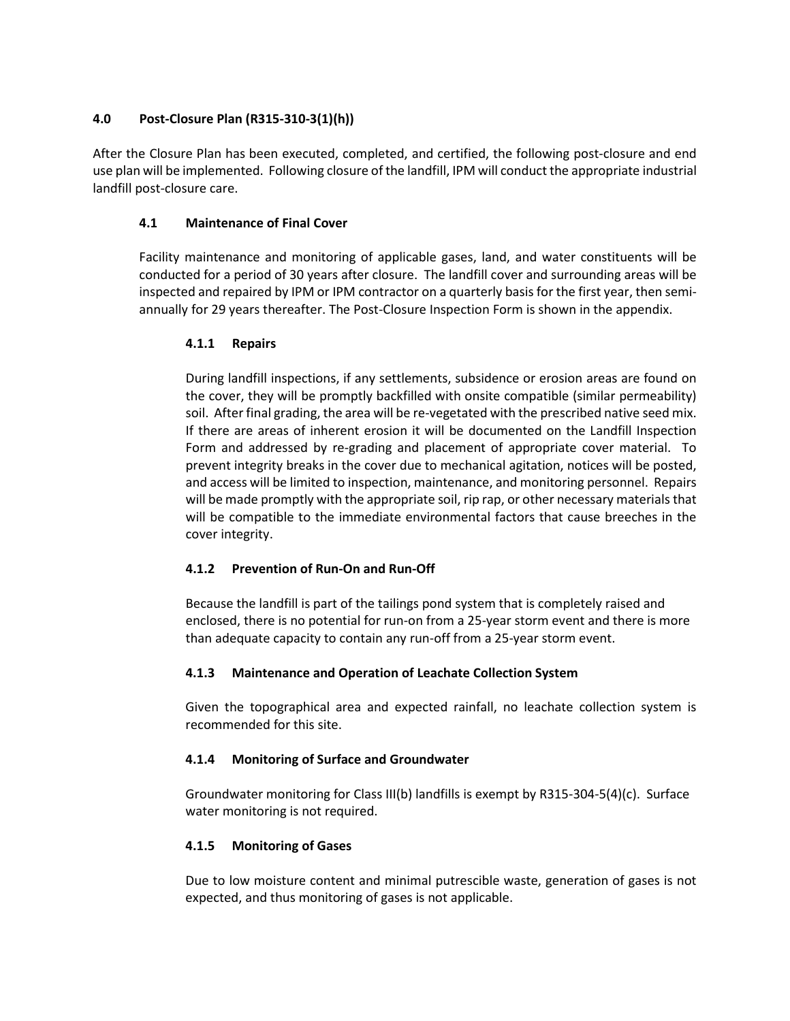### **4.0 Post-Closure Plan (R315-310-3(1)(h))**

After the Closure Plan has been executed, completed, and certified, the following post-closure and end use plan will be implemented. Following closure of the landfill, IPM will conduct the appropriate industrial landfill post-closure care.

### **4.1 Maintenance of Final Cover**

Facility maintenance and monitoring of applicable gases, land, and water constituents will be conducted for a period of 30 years after closure. The landfill cover and surrounding areas will be inspected and repaired by IPM or IPM contractor on a quarterly basis for the first year, then semiannually for 29 years thereafter. The Post-Closure Inspection Form is shown in the appendix.

### **4.1.1 Repairs**

During landfill inspections, if any settlements, subsidence or erosion areas are found on the cover, they will be promptly backfilled with onsite compatible (similar permeability) soil. After final grading, the area will be re-vegetated with the prescribed native seed mix. If there are areas of inherent erosion it will be documented on the Landfill Inspection Form and addressed by re-grading and placement of appropriate cover material. To prevent integrity breaks in the cover due to mechanical agitation, notices will be posted, and access will be limited to inspection, maintenance, and monitoring personnel. Repairs will be made promptly with the appropriate soil, rip rap, or other necessary materials that will be compatible to the immediate environmental factors that cause breeches in the cover integrity.

## **4.1.2 Prevention of Run-On and Run-Off**

Because the landfill is part of the tailings pond system that is completely raised and enclosed, there is no potential for run-on from a 25-year storm event and there is more than adequate capacity to contain any run-off from a 25-year storm event.

## **4.1.3 Maintenance and Operation of Leachate Collection System**

Given the topographical area and expected rainfall, no leachate collection system is recommended for this site.

## **4.1.4 Monitoring of Surface and Groundwater**

Groundwater monitoring for Class III(b) landfills is exempt by R315-304-5(4)(c). Surface water monitoring is not required.

#### **4.1.5 Monitoring of Gases**

Due to low moisture content and minimal putrescible waste, generation of gases is not expected, and thus monitoring of gases is not applicable.